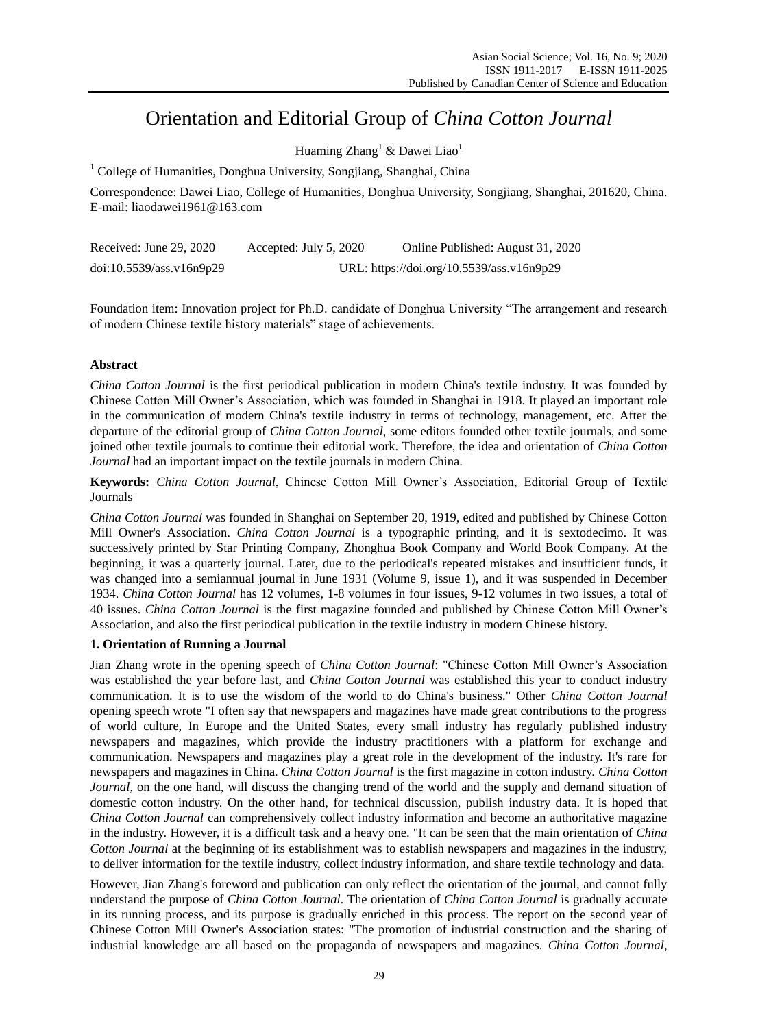# Orientation and Editorial Group of *China Cotton Journal*

Huaming  $Zhang<sup>1</sup>$  & Dawei Liao<sup>1</sup>

<sup>1</sup> College of Humanities, Donghua University, Songjiang, Shanghai, China

Correspondence: Dawei Liao, College of Humanities, Donghua University, Songjiang, Shanghai, 201620, China. E-mail: liaodawei1961@163.com

| Received: June 29, 2020  | Accepted: July 5, 2020                    | Online Published: August 31, 2020 |
|--------------------------|-------------------------------------------|-----------------------------------|
| doi:10.5539/ass.v16n9p29 | URL: https://doi.org/10.5539/ass.v16n9p29 |                                   |

Foundation item: Innovation project for Ph.D. candidate of Donghua University "The arrangement and research of modern Chinese textile history materials" stage of achievements.

## **Abstract**

*China Cotton Journal* is the first periodical publication in modern China's textile industry. It was founded by Chinese Cotton Mill Owner's Association, which was founded in Shanghai in 1918. It played an important role in the communication of modern China's textile industry in terms of technology, management, etc. After the departure of the editorial group of *China Cotton Journal*, some editors founded other textile journals, and some joined other textile journals to continue their editorial work. Therefore, the idea and orientation of *China Cotton Journal* had an important impact on the textile journals in modern China.

**Keywords:** *China Cotton Journal*, Chinese Cotton Mill Owner's Association, Editorial Group of Textile Journals

*China Cotton Journal* was founded in Shanghai on September 20, 1919, edited and published by Chinese Cotton Mill Owner's Association. *China Cotton Journal* is a typographic printing, and it is sextodecimo. It was successively printed by Star Printing Company, Zhonghua Book Company and World Book Company. At the beginning, it was a quarterly journal. Later, due to the periodical's repeated mistakes and insufficient funds, it was changed into a semiannual journal in June 1931 (Volume 9, issue 1), and it was suspended in December 1934. *China Cotton Journal* has 12 volumes, 1-8 volumes in four issues, 9-12 volumes in two issues, a total of 40 issues. *China Cotton Journal* is the first magazine founded and published by Chinese Cotton Mill Owner's Association, and also the first periodical publication in the textile industry in modern Chinese history.

### **1. Orientation of Running a Journal**

Jian Zhang wrote in the opening speech of *China Cotton Journal*: "Chinese Cotton Mill Owner's Association was established the year before last, and *China Cotton Journal* was established this year to conduct industry communication. It is to use the wisdom of the world to do China's business." Other *China Cotton Journal*  opening speech wrote "I often say that newspapers and magazines have made great contributions to the progress of world culture, In Europe and the United States, every small industry has regularly published industry newspapers and magazines, which provide the industry practitioners with a platform for exchange and communication. Newspapers and magazines play a great role in the development of the industry. It's rare for newspapers and magazines in China. *China Cotton Journal* is the first magazine in cotton industry. *China Cotton Journal*, on the one hand, will discuss the changing trend of the world and the supply and demand situation of domestic cotton industry. On the other hand, for technical discussion, publish industry data. It is hoped that *China Cotton Journal* can comprehensively collect industry information and become an authoritative magazine in the industry. However, it is a difficult task and a heavy one. "It can be seen that the main orientation of *China Cotton Journal* at the beginning of its establishment was to establish newspapers and magazines in the industry, to deliver information for the textile industry, collect industry information, and share textile technology and data.

However, Jian Zhang's foreword and publication can only reflect the orientation of the journal, and cannot fully understand the purpose of *China Cotton Journal*. The orientation of *China Cotton Journal* is gradually accurate in its running process, and its purpose is gradually enriched in this process. The report on the second year of Chinese Cotton Mill Owner's Association states: "The promotion of industrial construction and the sharing of industrial knowledge are all based on the propaganda of newspapers and magazines. *China Cotton Journal*,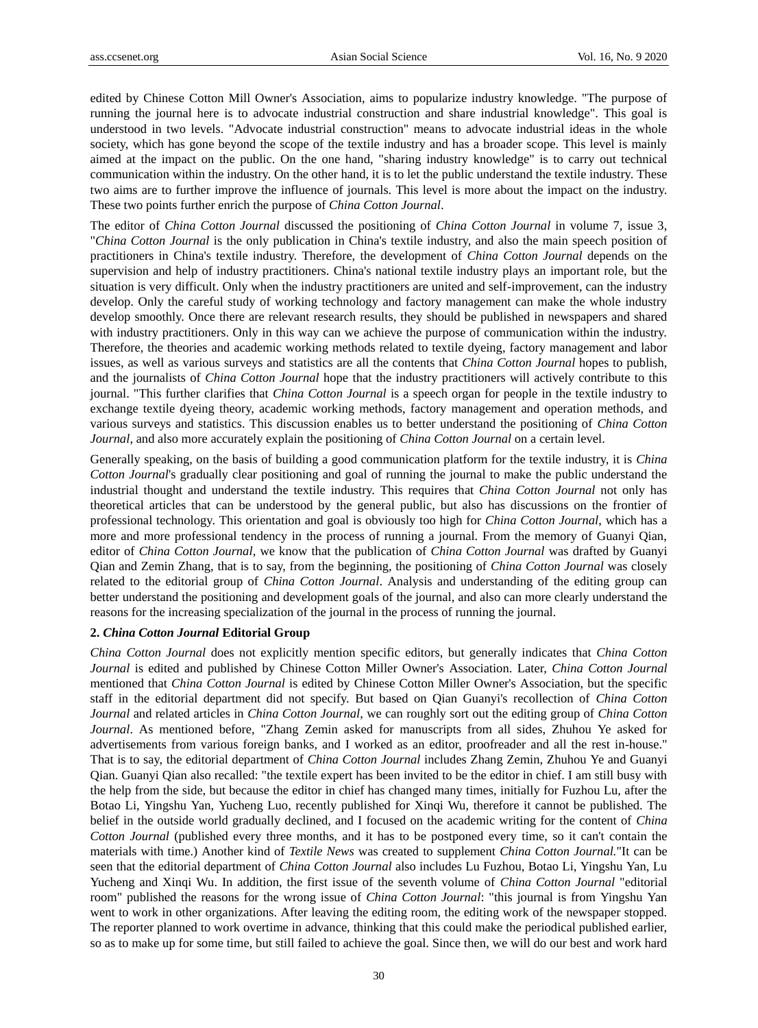edited by Chinese Cotton Mill Owner's Association, aims to popularize industry knowledge. "The purpose of running the journal here is to advocate industrial construction and share industrial knowledge". This goal is understood in two levels. "Advocate industrial construction" means to advocate industrial ideas in the whole society, which has gone beyond the scope of the textile industry and has a broader scope. This level is mainly aimed at the impact on the public. On the one hand, "sharing industry knowledge" is to carry out technical communication within the industry. On the other hand, it is to let the public understand the textile industry. These two aims are to further improve the influence of journals. This level is more about the impact on the industry. These two points further enrich the purpose of *China Cotton Journal*.

The editor of *China Cotton Journal* discussed the positioning of *China Cotton Journal* in volume 7, issue 3, "*China Cotton Journal* is the only publication in China's textile industry, and also the main speech position of practitioners in China's textile industry. Therefore, the development of *China Cotton Journal* depends on the supervision and help of industry practitioners. China's national textile industry plays an important role, but the situation is very difficult. Only when the industry practitioners are united and self-improvement, can the industry develop. Only the careful study of working technology and factory management can make the whole industry develop smoothly. Once there are relevant research results, they should be published in newspapers and shared with industry practitioners. Only in this way can we achieve the purpose of communication within the industry. Therefore, the theories and academic working methods related to textile dyeing, factory management and labor issues, as well as various surveys and statistics are all the contents that *China Cotton Journal* hopes to publish, and the journalists of *China Cotton Journal* hope that the industry practitioners will actively contribute to this journal. "This further clarifies that *China Cotton Journal* is a speech organ for people in the textile industry to exchange textile dyeing theory, academic working methods, factory management and operation methods, and various surveys and statistics. This discussion enables us to better understand the positioning of *China Cotton Journal*, and also more accurately explain the positioning of *China Cotton Journal* on a certain level.

Generally speaking, on the basis of building a good communication platform for the textile industry, it is *China Cotton Journal*'s gradually clear positioning and goal of running the journal to make the public understand the industrial thought and understand the textile industry. This requires that *China Cotton Journal* not only has theoretical articles that can be understood by the general public, but also has discussions on the frontier of professional technology. This orientation and goal is obviously too high for *China Cotton Journal*, which has a more and more professional tendency in the process of running a journal. From the memory of Guanyi Qian, editor of *China Cotton Journal*, we know that the publication of *China Cotton Journal* was drafted by Guanyi Qian and Zemin Zhang, that is to say, from the beginning, the positioning of *China Cotton Journal* was closely related to the editorial group of *China Cotton Journal*. Analysis and understanding of the editing group can better understand the positioning and development goals of the journal, and also can more clearly understand the reasons for the increasing specialization of the journal in the process of running the journal.

#### **2.** *China Cotton Journal* **Editorial Group**

*China Cotton Journal* does not explicitly mention specific editors, but generally indicates that *China Cotton Journal* is edited and published by Chinese Cotton Miller Owner's Association. Later, *China Cotton Journal* mentioned that *China Cotton Journal* is edited by Chinese Cotton Miller Owner's Association, but the specific staff in the editorial department did not specify. But based on Qian Guanyi's recollection of *China Cotton Journal* and related articles in *China Cotton Journal*, we can roughly sort out the editing group of *China Cotton Journal*. As mentioned before, "Zhang Zemin asked for manuscripts from all sides, Zhuhou Ye asked for advertisements from various foreign banks, and I worked as an editor, proofreader and all the rest in-house." That is to say, the editorial department of *China Cotton Journal* includes Zhang Zemin, Zhuhou Ye and Guanyi Qian. Guanyi Qian also recalled: "the textile expert has been invited to be the editor in chief. I am still busy with the help from the side, but because the editor in chief has changed many times, initially for Fuzhou Lu, after the Botao Li, Yingshu Yan, Yucheng Luo, recently published for Xinqi Wu, therefore it cannot be published. The belief in the outside world gradually declined, and I focused on the academic writing for the content of *China Cotton Journal* (published every three months, and it has to be postponed every time, so it can't contain the materials with time.) Another kind of *Textile News* was created to supplement *China Cotton Journal.*"It can be seen that the editorial department of *China Cotton Journal* also includes Lu Fuzhou, Botao Li, Yingshu Yan, Lu Yucheng and Xinqi Wu. In addition, the first issue of the seventh volume of *China Cotton Journal* "editorial room" published the reasons for the wrong issue of *China Cotton Journal*: "this journal is from Yingshu Yan went to work in other organizations. After leaving the editing room, the editing work of the newspaper stopped. The reporter planned to work overtime in advance, thinking that this could make the periodical published earlier, so as to make up for some time, but still failed to achieve the goal. Since then, we will do our best and work hard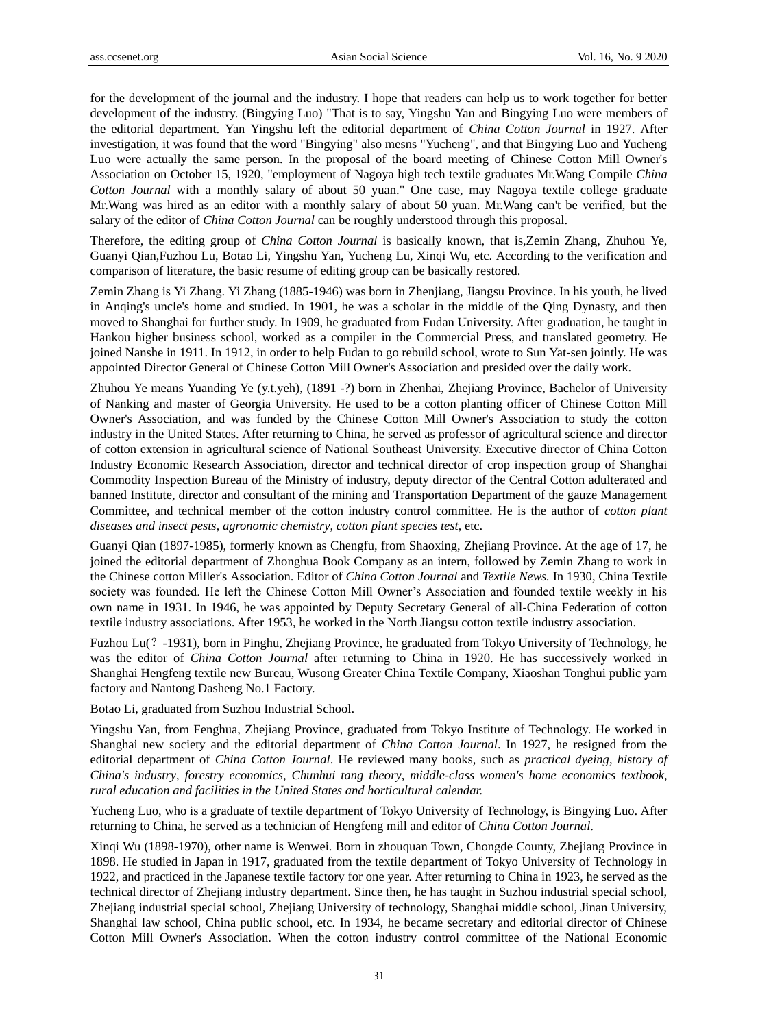for the development of the journal and the industry. I hope that readers can help us to work together for better development of the industry. (Bingying Luo) "That is to say, Yingshu Yan and Bingying Luo were members of the editorial department. Yan Yingshu left the editorial department of *China Cotton Journal* in 1927. After investigation, it was found that the word "Bingying" also mesns "Yucheng", and that Bingying Luo and Yucheng Luo were actually the same person. In the proposal of the board meeting of Chinese Cotton Mill Owner's Association on October 15, 1920, "employment of Nagoya high tech textile graduates Mr.Wang Compile *China Cotton Journal* with a monthly salary of about 50 yuan." One case, may Nagoya textile college graduate Mr.Wang was hired as an editor with a monthly salary of about 50 yuan. Mr.Wang can't be verified, but the salary of the editor of *China Cotton Journal* can be roughly understood through this proposal.

Therefore, the editing group of *China Cotton Journal* is basically known, that is,Zemin Zhang, Zhuhou Ye, Guanyi Qian,Fuzhou Lu, Botao Li, Yingshu Yan, Yucheng Lu, Xinqi Wu, etc. According to the verification and comparison of literature, the basic resume of editing group can be basically restored.

Zemin Zhang is Yi Zhang. Yi Zhang (1885-1946) was born in Zhenjiang, Jiangsu Province. In his youth, he lived in Anqing's uncle's home and studied. In 1901, he was a scholar in the middle of the Qing Dynasty, and then moved to Shanghai for further study. In 1909, he graduated from Fudan University. After graduation, he taught in Hankou higher business school, worked as a compiler in the Commercial Press, and translated geometry. He joined Nanshe in 1911. In 1912, in order to help Fudan to go rebuild school, wrote to Sun Yat-sen jointly. He was appointed Director General of Chinese Cotton Mill Owner's Association and presided over the daily work.

Zhuhou Ye means Yuanding Ye (y.t.yeh), (1891 -?) born in Zhenhai, Zhejiang Province, Bachelor of University of Nanking and master of Georgia University. He used to be a cotton planting officer of Chinese Cotton Mill Owner's Association, and was funded by the Chinese Cotton Mill Owner's Association to study the cotton industry in the United States. After returning to China, he served as professor of agricultural science and director of cotton extension in agricultural science of National Southeast University. Executive director of China Cotton Industry Economic Research Association, director and technical director of crop inspection group of Shanghai Commodity Inspection Bureau of the Ministry of industry, deputy director of the Central Cotton adulterated and banned Institute, director and consultant of the mining and Transportation Department of the gauze Management Committee, and technical member of the cotton industry control committee. He is the author of *cotton plant diseases and insect pests*, *agronomic chemistry*, *cotton plant species test*, etc.

Guanyi Qian (1897-1985), formerly known as Chengfu, from Shaoxing, Zhejiang Province. At the age of 17, he joined the editorial department of Zhonghua Book Company as an intern, followed by Zemin Zhang to work in the Chinese cotton Miller's Association. Editor of *China Cotton Journal* and *Textile News.* In 1930, China Textile society was founded. He left the Chinese Cotton Mill Owner's Association and founded textile weekly in his own name in 1931. In 1946, he was appointed by Deputy Secretary General of all-China Federation of cotton textile industry associations. After 1953, he worked in the North Jiangsu cotton textile industry association.

Fuzhou Lu(?-1931), born in Pinghu, Zhejiang Province, he graduated from Tokyo University of Technology, he was the editor of *China Cotton Journal* after returning to China in 1920. He has successively worked in Shanghai Hengfeng textile new Bureau, Wusong Greater China Textile Company, Xiaoshan Tonghui public yarn factory and Nantong Dasheng No.1 Factory.

Botao Li, graduated from Suzhou Industrial School.

Yingshu Yan, from Fenghua, Zhejiang Province, graduated from Tokyo Institute of Technology. He worked in Shanghai new society and the editorial department of *China Cotton Journal*. In 1927, he resigned from the editorial department of *China Cotton Journal*. He reviewed many books, such as *practical dyeing*, *history of China's industry*, *forestry economics*, *Chunhui tang theory*, *middle-class women's home economics textbook*, *rural education and facilities in the United States and horticultural calendar.*

Yucheng Luo, who is a graduate of textile department of Tokyo University of Technology, is Bingying Luo. After returning to China, he served as a technician of Hengfeng mill and editor of *China Cotton Journal*.

Xinqi Wu (1898-1970), other name is Wenwei. Born in zhouquan Town, Chongde County, Zhejiang Province in 1898. He studied in Japan in 1917, graduated from the textile department of Tokyo University of Technology in 1922, and practiced in the Japanese textile factory for one year. After returning to China in 1923, he served as the technical director of Zhejiang industry department. Since then, he has taught in Suzhou industrial special school, Zhejiang industrial special school, Zhejiang University of technology, Shanghai middle school, Jinan University, Shanghai law school, China public school, etc. In 1934, he became secretary and editorial director of Chinese Cotton Mill Owner's Association. When the cotton industry control committee of the National Economic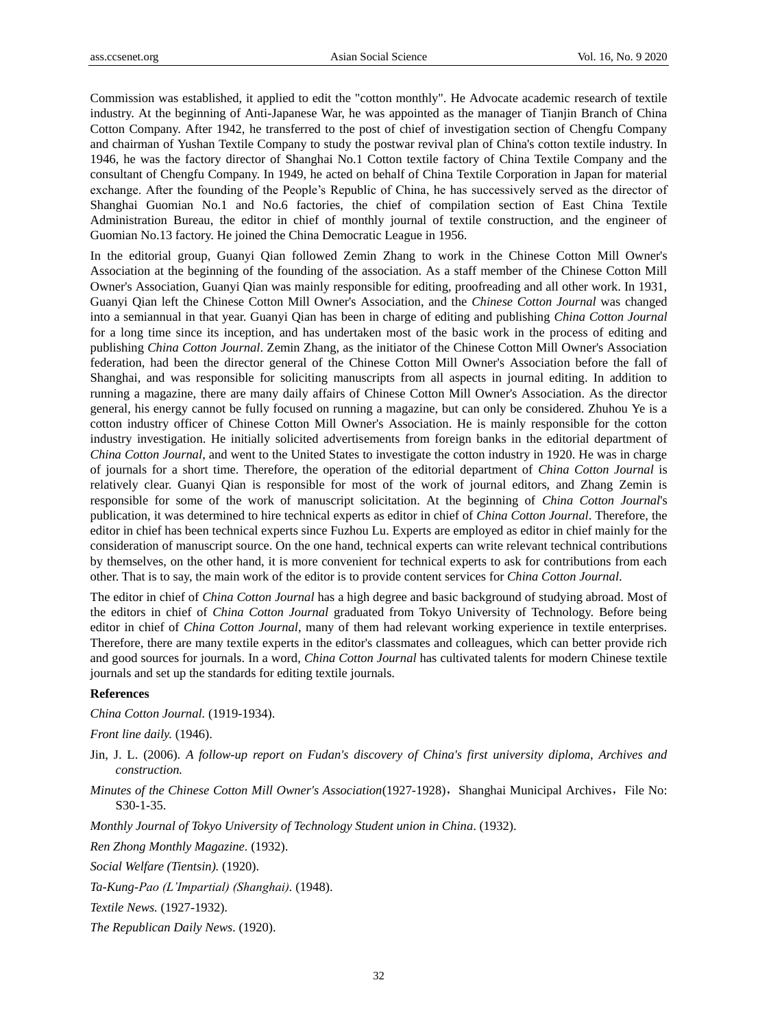Commission was established, it applied to edit the "cotton monthly". He Advocate academic research of textile industry. At the beginning of Anti-Japanese War, he was appointed as the manager of Tianjin Branch of China Cotton Company. After 1942, he transferred to the post of chief of investigation section of Chengfu Company and chairman of Yushan Textile Company to study the postwar revival plan of China's cotton textile industry. In 1946, he was the factory director of Shanghai No.1 Cotton textile factory of China Textile Company and the consultant of Chengfu Company. In 1949, he acted on behalf of China Textile Corporation in Japan for material exchange. After the founding of the People's Republic of China, he has successively served as the director of Shanghai Guomian No.1 and No.6 factories, the chief of compilation section of East China Textile Administration Bureau, the editor in chief of monthly journal of textile construction, and the engineer of Guomian No.13 factory. He joined the China Democratic League in 1956.

In the editorial group, Guanyi Qian followed Zemin Zhang to work in the Chinese Cotton Mill Owner's Association at the beginning of the founding of the association. As a staff member of the Chinese Cotton Mill Owner's Association, Guanyi Qian was mainly responsible for editing, proofreading and all other work. In 1931, Guanyi Qian left the Chinese Cotton Mill Owner's Association, and the *Chinese Cotton Journal* was changed into a semiannual in that year. Guanyi Qian has been in charge of editing and publishing *China Cotton Journal* for a long time since its inception, and has undertaken most of the basic work in the process of editing and publishing *China Cotton Journal*. Zemin Zhang, as the initiator of the Chinese Cotton Mill Owner's Association federation, had been the director general of the Chinese Cotton Mill Owner's Association before the fall of Shanghai, and was responsible for soliciting manuscripts from all aspects in journal editing. In addition to running a magazine, there are many daily affairs of Chinese Cotton Mill Owner's Association. As the director general, his energy cannot be fully focused on running a magazine, but can only be considered. Zhuhou Ye is a cotton industry officer of Chinese Cotton Mill Owner's Association. He is mainly responsible for the cotton industry investigation. He initially solicited advertisements from foreign banks in the editorial department of *China Cotton Journal*, and went to the United States to investigate the cotton industry in 1920. He was in charge of journals for a short time. Therefore, the operation of the editorial department of *China Cotton Journal* is relatively clear. Guanyi Qian is responsible for most of the work of journal editors, and Zhang Zemin is responsible for some of the work of manuscript solicitation. At the beginning of *China Cotton Journal*'s publication, it was determined to hire technical experts as editor in chief of *China Cotton Journal*. Therefore, the editor in chief has been technical experts since Fuzhou Lu. Experts are employed as editor in chief mainly for the consideration of manuscript source. On the one hand, technical experts can write relevant technical contributions by themselves, on the other hand, it is more convenient for technical experts to ask for contributions from each other. That is to say, the main work of the editor is to provide content services for *China Cotton Journal*.

The editor in chief of *China Cotton Journal* has a high degree and basic background of studying abroad. Most of the editors in chief of *China Cotton Journal* graduated from Tokyo University of Technology. Before being editor in chief of *China Cotton Journal*, many of them had relevant working experience in textile enterprises. Therefore, there are many textile experts in the editor's classmates and colleagues, which can better provide rich and good sources for journals. In a word, *China Cotton Journal* has cultivated talents for modern Chinese textile journals and set up the standards for editing textile journals.

#### **References**

*China Cotton Journal.* (1919-1934).

*Front line daily.* (1946).

- Jin, J. L. (2006). *A follow-up report on Fudan's discovery of China's first university diploma, Archives and construction.*
- *Minutes of the Chinese Cotton Mill Owner's Association*(1927-1928), Shanghai Municipal Archives, File No: S30-1-35.

*Monthly Journal of Tokyo University of Technology Student union in China*. (1932).

*Ren Zhong Monthly Magazine.* (1932).

*Social Welfare (Tientsin).* (1920).

*Ta-Kung-Pao (L'Impartial) (Shanghai).* (1948).

*Textile News.* (1927-1932).

*The Republican Daily News.* (1920).